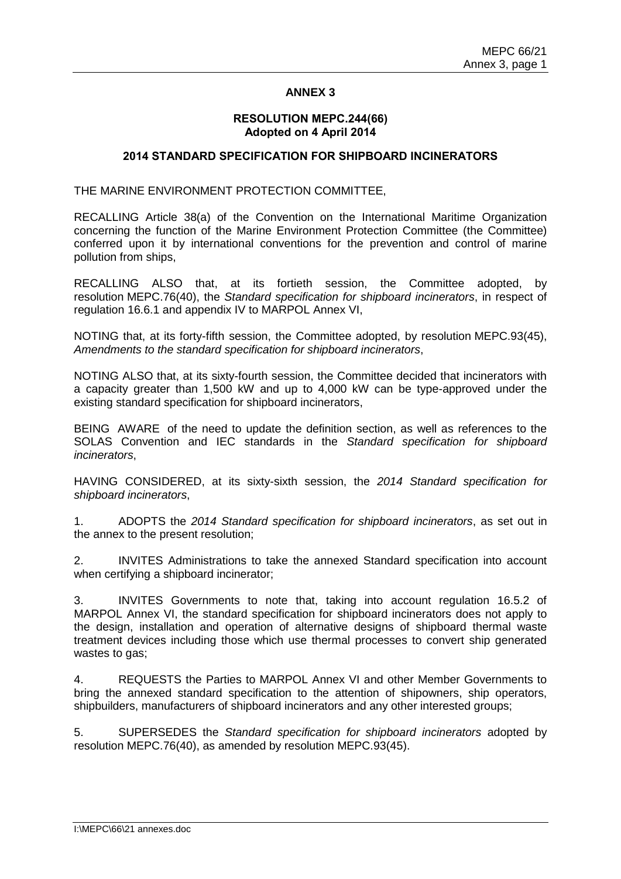#### **RESOLUTION MEPC.244(66) Adopted on 4 April 2014**

#### **2014 STANDARD SPECIFICATION FOR SHIPBOARD INCINERATORS**

THE MARINE ENVIRONMENT PROTECTION COMMITTEE,

RECALLING Article 38(a) of the Convention on the International Maritime Organization concerning the function of the Marine Environment Protection Committee (the Committee) conferred upon it by international conventions for the prevention and control of marine pollution from ships,

RECALLING ALSO that, at its fortieth session, the Committee adopted, by resolution MEPC.76(40), the *Standard specification for shipboard incinerators*, in respect of regulation 16.6.1 and appendix IV to MARPOL Annex VI,

NOTING that, at its forty-fifth session, the Committee adopted, by resolution MEPC.93(45), *Amendments to the standard specification for shipboard incinerators*,

NOTING ALSO that, at its sixty-fourth session, the Committee decided that incinerators with a capacity greater than 1,500 kW and up to 4,000 kW can be type-approved under the existing standard specification for shipboard incinerators,

BEING AWARE of the need to update the definition section, as well as references to the SOLAS Convention and IEC standards in the *Standard specification for shipboard incinerators*,

HAVING CONSIDERED, at its sixty-sixth session, the *2014 Standard specification for shipboard incinerators*,

1. ADOPTS the *2014 Standard specification for shipboard incinerators*, as set out in the annex to the present resolution;

2. INVITES Administrations to take the annexed Standard specification into account when certifying a shipboard incinerator:

3. INVITES Governments to note that, taking into account regulation 16.5.2 of MARPOL Annex VI, the standard specification for shipboard incinerators does not apply to the design, installation and operation of alternative designs of shipboard thermal waste treatment devices including those which use thermal processes to convert ship generated wastes to gas;

4. REQUESTS the Parties to MARPOL Annex VI and other Member Governments to bring the annexed standard specification to the attention of shipowners, ship operators, shipbuilders, manufacturers of shipboard incinerators and any other interested groups;

5. SUPERSEDES the *Standard specification for shipboard incinerators* adopted by resolution MEPC.76(40), as amended by resolution MEPC.93(45).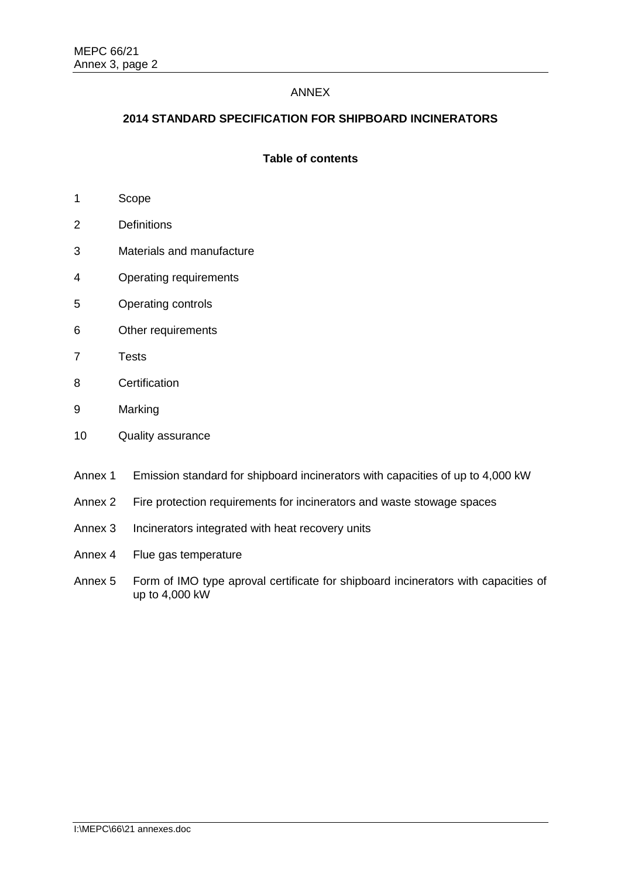# **2014 STANDARD SPECIFICATION FOR SHIPBOARD INCINERATORS**

# **Table of contents**

- 1 Scope
- 2 Definitions
- 3 Materials and manufacture
- 4 Operating requirements
- 5 Operating controls
- 6 Other requirements
- 7 Tests
- 8 Certification
- 9 Marking
- 10 Quality assurance
- Annex 1 Emission standard for shipboard incinerators with capacities of up to 4,000 kW
- Annex 2 Fire protection requirements for incinerators and waste stowage spaces
- Annex 3 Incinerators integrated with heat recovery units
- Annex 4 Flue gas temperature
- Annex 5 Form of IMO type aproval certificate for shipboard incinerators with capacities of up to 4,000 kW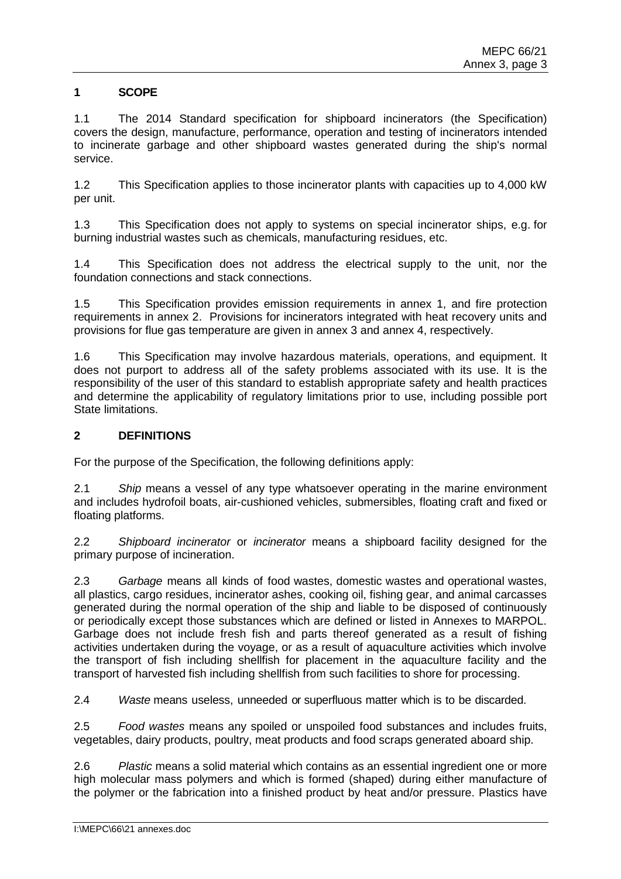# **1 SCOPE**

1.1 The 2014 Standard specification for shipboard incinerators (the Specification) covers the design, manufacture, performance, operation and testing of incinerators intended to incinerate garbage and other shipboard wastes generated during the ship's normal service.

1.2 This Specification applies to those incinerator plants with capacities up to 4,000 kW per unit.

1.3 This Specification does not apply to systems on special incinerator ships, e.g. for burning industrial wastes such as chemicals, manufacturing residues, etc.

1.4 This Specification does not address the electrical supply to the unit, nor the foundation connections and stack connections.

1.5 This Specification provides emission requirements in annex 1, and fire protection requirements in annex 2. Provisions for incinerators integrated with heat recovery units and provisions for flue gas temperature are given in annex 3 and annex 4, respectively.

1.6 This Specification may involve hazardous materials, operations, and equipment. It does not purport to address all of the safety problems associated with its use. It is the responsibility of the user of this standard to establish appropriate safety and health practices and determine the applicability of regulatory limitations prior to use, including possible port State limitations.

### **2 DEFINITIONS**

For the purpose of the Specification, the following definitions apply:

2.1 *Ship* means a vessel of any type whatsoever operating in the marine environment and includes hydrofoil boats, air-cushioned vehicles, submersibles, floating craft and fixed or floating platforms.

2.2 *Shipboard incinerator* or *incinerator* means a shipboard facility designed for the primary purpose of incineration.

2.3 *Garbage* means all kinds of food wastes, domestic wastes and operational wastes, all plastics, cargo residues, incinerator ashes, cooking oil, fishing gear, and animal carcasses generated during the normal operation of the ship and liable to be disposed of continuously or periodically except those substances which are defined or listed in Annexes to MARPOL. Garbage does not include fresh fish and parts thereof generated as a result of fishing activities undertaken during the voyage, or as a result of aquaculture activities which involve the transport of fish including shellfish for placement in the aquaculture facility and the transport of harvested fish including shellfish from such facilities to shore for processing.

2.4 *Waste* means useless, unneeded or superfluous matter which is to be discarded.

2.5 *Food wastes* means any spoiled or unspoiled food substances and includes fruits, vegetables, dairy products, poultry, meat products and food scraps generated aboard ship.

2.6 *Plastic* means a solid material which contains as an essential ingredient one or more high molecular mass polymers and which is formed (shaped) during either manufacture of the polymer or the fabrication into a finished product by heat and/or pressure. Plastics have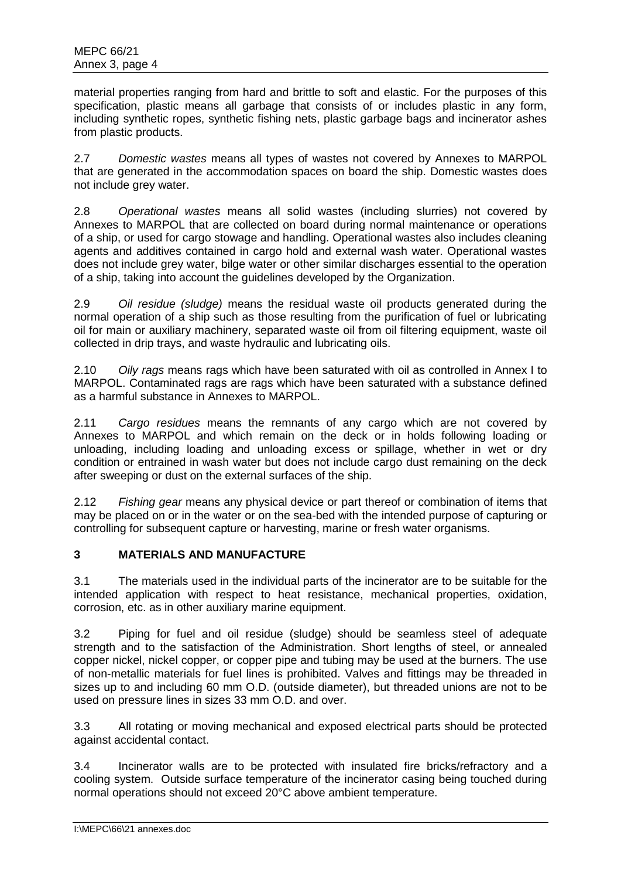material properties ranging from hard and brittle to soft and elastic. For the purposes of this specification, plastic means all garbage that consists of or includes plastic in any form, including synthetic ropes, synthetic fishing nets, plastic garbage bags and incinerator ashes from plastic products.

2.7 *Domestic wastes* means all types of wastes not covered by Annexes to MARPOL that are generated in the accommodation spaces on board the ship. Domestic wastes does not include grey water.

2.8 *Operational wastes* means all solid wastes (including slurries) not covered by Annexes to MARPOL that are collected on board during normal maintenance or operations of a ship, or used for cargo stowage and handling. Operational wastes also includes cleaning agents and additives contained in cargo hold and external wash water. Operational wastes does not include grey water, bilge water or other similar discharges essential to the operation of a ship, taking into account the guidelines developed by the Organization.

2.9 *Oil residue (sludge)* means the residual waste oil products generated during the normal operation of a ship such as those resulting from the purification of fuel or lubricating oil for main or auxiliary machinery, separated waste oil from oil filtering equipment, waste oil collected in drip trays, and waste hydraulic and lubricating oils.

2.10 *Oily rags* means rags which have been saturated with oil as controlled in Annex I to MARPOL. Contaminated rags are rags which have been saturated with a substance defined as a harmful substance in Annexes to MARPOL.

2.11 *Cargo residues* means the remnants of any cargo which are not covered by Annexes to MARPOL and which remain on the deck or in holds following loading or unloading, including loading and unloading excess or spillage, whether in wet or dry condition or entrained in wash water but does not include cargo dust remaining on the deck after sweeping or dust on the external surfaces of the ship.

2.12 *Fishing gear* means any physical device or part thereof or combination of items that may be placed on or in the water or on the sea-bed with the intended purpose of capturing or controlling for subsequent capture or harvesting, marine or fresh water organisms.

# **3 MATERIALS AND MANUFACTURE**

3.1 The materials used in the individual parts of the incinerator are to be suitable for the intended application with respect to heat resistance, mechanical properties, oxidation, corrosion, etc. as in other auxiliary marine equipment.

3.2 Piping for fuel and oil residue (sludge) should be seamless steel of adequate strength and to the satisfaction of the Administration. Short lengths of steel, or annealed copper nickel, nickel copper, or copper pipe and tubing may be used at the burners. The use of non-metallic materials for fuel lines is prohibited. Valves and fittings may be threaded in sizes up to and including 60 mm O.D. (outside diameter), but threaded unions are not to be used on pressure lines in sizes 33 mm O.D. and over.

3.3 All rotating or moving mechanical and exposed electrical parts should be protected against accidental contact.

3.4 Incinerator walls are to be protected with insulated fire bricks/refractory and a cooling system. Outside surface temperature of the incinerator casing being touched during normal operations should not exceed 20°C above ambient temperature.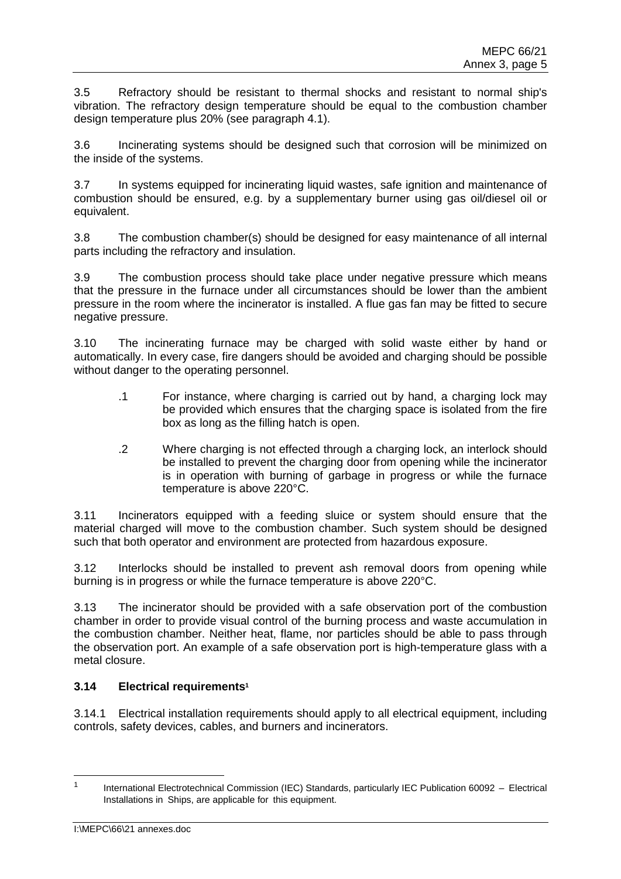3.5 Refractory should be resistant to thermal shocks and resistant to normal ship's vibration. The refractory design temperature should be equal to the combustion chamber design temperature plus 20% (see paragraph 4.1).

3.6 Incinerating systems should be designed such that corrosion will be minimized on the inside of the systems.

3.7 In systems equipped for incinerating liquid wastes, safe ignition and maintenance of combustion should be ensured, e.g. by a supplementary burner using gas oil/diesel oil or equivalent.

3.8 The combustion chamber(s) should be designed for easy maintenance of all internal parts including the refractory and insulation.

3.9 The combustion process should take place under negative pressure which means that the pressure in the furnace under all circumstances should be lower than the ambient pressure in the room where the incinerator is installed. A flue gas fan may be fitted to secure negative pressure.

3.10 The incinerating furnace may be charged with solid waste either by hand or automatically. In every case, fire dangers should be avoided and charging should be possible without danger to the operating personnel.

- .1 For instance, where charging is carried out by hand, a charging lock may be provided which ensures that the charging space is isolated from the fire box as long as the filling hatch is open.
- .2 Where charging is not effected through a charging lock, an interlock should be installed to prevent the charging door from opening while the incinerator is in operation with burning of garbage in progress or while the furnace temperature is above 220°C.

3.11 Incinerators equipped with a feeding sluice or system should ensure that the material charged will move to the combustion chamber. Such system should be designed such that both operator and environment are protected from hazardous exposure.

3.12 Interlocks should be installed to prevent ash removal doors from opening while burning is in progress or while the furnace temperature is above 220°C.

3.13 The incinerator should be provided with a safe observation port of the combustion chamber in order to provide visual control of the burning process and waste accumulation in the combustion chamber. Neither heat, flame, nor particles should be able to pass through the observation port. An example of a safe observation port is high-temperature glass with a metal closure.

# **3.14 Electrical requirements<sup>1</sup>**

3.14.1 Electrical installation requirements should apply to all electrical equipment, including controls, safety devices, cables, and burners and incinerators.

<sup>1</sup> International Electrotechnical Commission (IEC) Standards, particularly IEC Publication 60092 – Electrical Installations in Ships, are applicable for this equipment.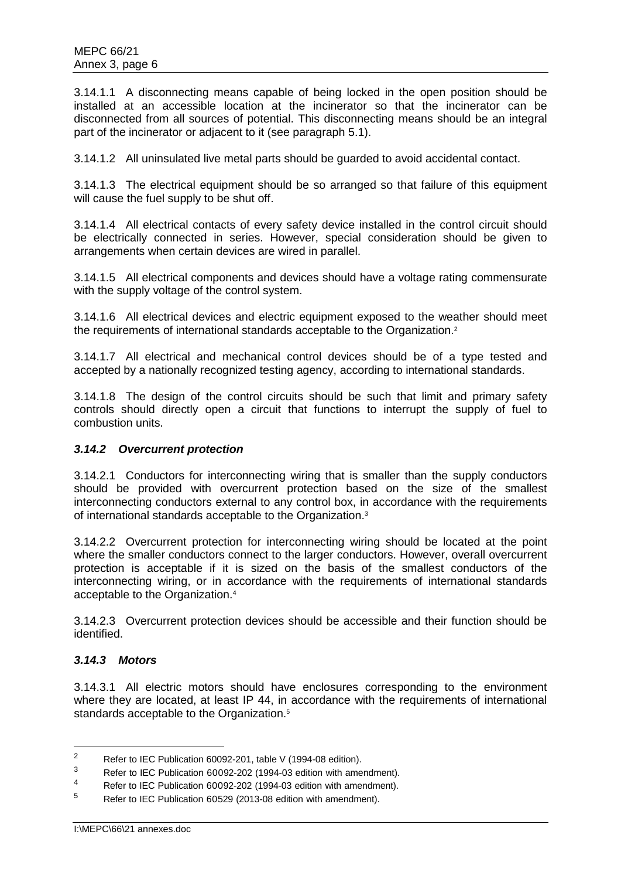3.14.1.1 A disconnecting means capable of being locked in the open position should be installed at an accessible location at the incinerator so that the incinerator can be disconnected from all sources of potential. This disconnecting means should be an integral part of the incinerator or adjacent to it (see paragraph 5.1).

3.14.1.2 All uninsulated live metal parts should be guarded to avoid accidental contact.

3.14.1.3 The electrical equipment should be so arranged so that failure of this equipment will cause the fuel supply to be shut off.

3.14.1.4 All electrical contacts of every safety device installed in the control circuit should be electrically connected in series. However, special consideration should be given to arrangements when certain devices are wired in parallel.

3.14.1.5 All electrical components and devices should have a voltage rating commensurate with the supply voltage of the control system.

3.14.1.6 All electrical devices and electric equipment exposed to the weather should meet the requirements of international standards acceptable to the Organization.<sup>2</sup>

3.14.1.7 All electrical and mechanical control devices should be of a type tested and accepted by a nationally recognized testing agency, according to international standards.

3.14.1.8 The design of the control circuits should be such that limit and primary safety controls should directly open a circuit that functions to interrupt the supply of fuel to combustion units.

# *3.14.2 Overcurrent protection*

3.14.2.1 Conductors for interconnecting wiring that is smaller than the supply conductors should be provided with overcurrent protection based on the size of the smallest interconnecting conductors external to any control box, in accordance with the requirements of international standards acceptable to the Organization.<sup>3</sup>

3.14.2.2 Overcurrent protection for interconnecting wiring should be located at the point where the smaller conductors connect to the larger conductors. However, overall overcurrent protection is acceptable if it is sized on the basis of the smallest conductors of the interconnecting wiring, or in accordance with the requirements of international standards acceptable to the Organization.<sup>4</sup>

3.14.2.3 Overcurrent protection devices should be accessible and their function should be identified.

# *3.14.3 Motors*

3.14.3.1 All electric motors should have enclosures corresponding to the environment where they are located, at least IP 44, in accordance with the requirements of international standards acceptable to the Organization. 5

<sup>&</sup>lt;sup>2</sup> Refer to IEC Publication 60092-201, table V (1994-08 edition).

 $3$  Refer to IEC Publication 60092-202 (1994-03 edition with amendment).

<sup>4</sup> Refer to IEC Publication 60092-202 (1994-03 edition with amendment).

<sup>5</sup> Refer to IEC Publication 60529 (2013-08 edition with amendment).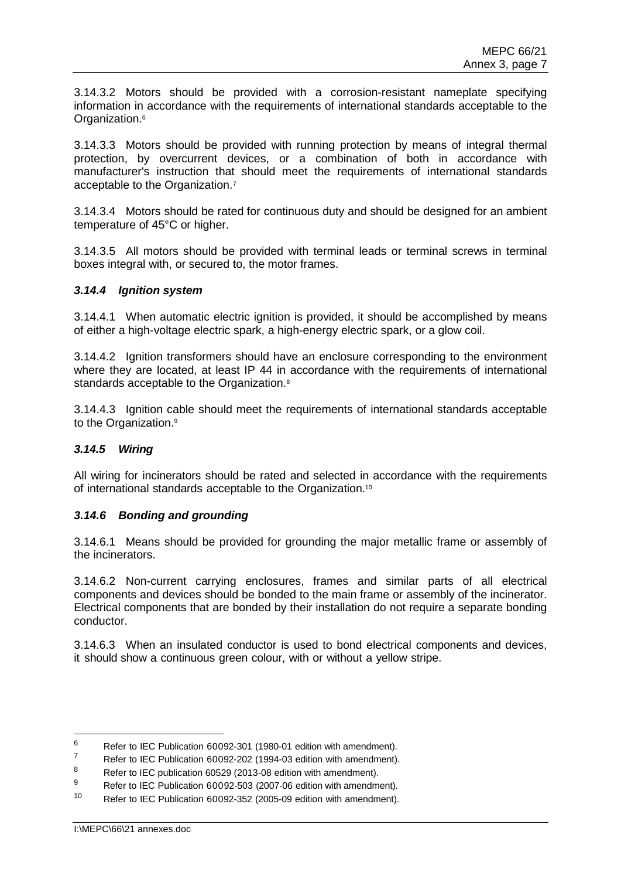3.14.3.2 Motors should be provided with a corrosion-resistant nameplate specifying information in accordance with the requirements of international standards acceptable to the Organization.<sup>6</sup>

3.14.3.3 Motors should be provided with running protection by means of integral thermal protection, by overcurrent devices, or a combination of both in accordance with manufacturer's instruction that should meet the requirements of international standards acceptable to the Organization.<sup>7</sup>

3.14.3.4 Motors should be rated for continuous duty and should be designed for an ambient temperature of 45°C or higher.

3.14.3.5 All motors should be provided with terminal leads or terminal screws in terminal boxes integral with, or secured to, the motor frames.

#### *3.14.4 Ignition system*

3.14.4.1 When automatic electric ignition is provided, it should be accomplished by means of either a high-voltage electric spark, a high-energy electric spark, or a glow coil.

3.14.4.2 Ignition transformers should have an enclosure corresponding to the environment where they are located, at least IP 44 in accordance with the requirements of international standards acceptable to the Organization.<sup>8</sup>

3.14.4.3 Ignition cable should meet the requirements of international standards acceptable to the Organization.<sup>9</sup>

# *3.14.5 Wiring*

All wiring for incinerators should be rated and selected in accordance with the requirements of international standards acceptable to the Organization.<sup>10</sup>

# *3.14.6 Bonding and grounding*

3.14.6.1 Means should be provided for grounding the major metallic frame or assembly of the incinerators.

3.14.6.2 Non-current carrying enclosures, frames and similar parts of all electrical components and devices should be bonded to the main frame or assembly of the incinerator. Electrical components that are bonded by their installation do not require a separate bonding conductor.

3.14.6.3 When an insulated conductor is used to bond electrical components and devices, it should show a continuous green colour, with or without a yellow stripe.

<sup>&</sup>lt;sup>6</sup> Refer to IEC Publication 60092-301 (1980-01 edition with amendment).<br> $\frac{7}{4}$  Refer to IEC Bublication 60003, 203 (1994, 93 edition with amendment).

 $^7$  Refer to IEC Publication 60092-202 (1994-03 edition with amendment).

<sup>&</sup>lt;sup>8</sup> Refer to IEC publication 60529 (2013-08 edition with amendment).<br>By Befacts IEC Publication 60529, 500 (2007-06 edition with amendments)

Refer to IEC Publication 60092-503 (2007-06 edition with amendment).

<sup>10</sup> Refer to IEC Publication 60092-352 (2005-09 edition with amendment).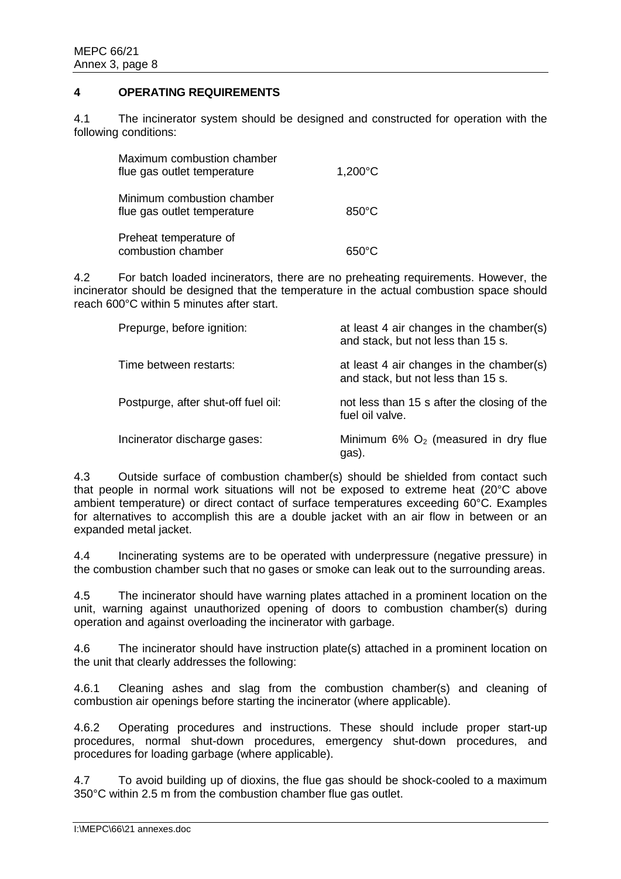# **4 OPERATING REQUIREMENTS**

4.1 The incinerator system should be designed and constructed for operation with the following conditions:

| Maximum combustion chamber<br>flue gas outlet temperature | 1,200°C         |
|-----------------------------------------------------------|-----------------|
| Minimum combustion chamber<br>flue gas outlet temperature | $850^{\circ}$ C |
| Preheat temperature of<br>combustion chamber              | $650^{\circ}$ C |

4.2 For batch loaded incinerators, there are no preheating requirements. However, the incinerator should be designed that the temperature in the actual combustion space should reach 600°C within 5 minutes after start.

| Prepurge, before ignition:          | at least 4 air changes in the chamber(s)<br>and stack, but not less than 15 s. |
|-------------------------------------|--------------------------------------------------------------------------------|
| Time between restarts:              | at least 4 air changes in the chamber(s)<br>and stack, but not less than 15 s. |
| Postpurge, after shut-off fuel oil: | not less than 15 s after the closing of the<br>fuel oil valve.                 |
| Incinerator discharge gases:        | Minimum $6\%$ O <sub>2</sub> (measured in dry flue<br>gas).                    |

4.3 Outside surface of combustion chamber(s) should be shielded from contact such that people in normal work situations will not be exposed to extreme heat (20°C above ambient temperature) or direct contact of surface temperatures exceeding 60°C. Examples for alternatives to accomplish this are a double jacket with an air flow in between or an expanded metal jacket.

4.4 Incinerating systems are to be operated with underpressure (negative pressure) in the combustion chamber such that no gases or smoke can leak out to the surrounding areas.

4.5 The incinerator should have warning plates attached in a prominent location on the unit, warning against unauthorized opening of doors to combustion chamber(s) during operation and against overloading the incinerator with garbage.

4.6 The incinerator should have instruction plate(s) attached in a prominent location on the unit that clearly addresses the following:

4.6.1 Cleaning ashes and slag from the combustion chamber(s) and cleaning of combustion air openings before starting the incinerator (where applicable).

4.6.2 Operating procedures and instructions. These should include proper start-up procedures, normal shut-down procedures, emergency shut-down procedures, and procedures for loading garbage (where applicable).

4.7 To avoid building up of dioxins, the flue gas should be shock-cooled to a maximum 350°C within 2.5 m from the combustion chamber flue gas outlet.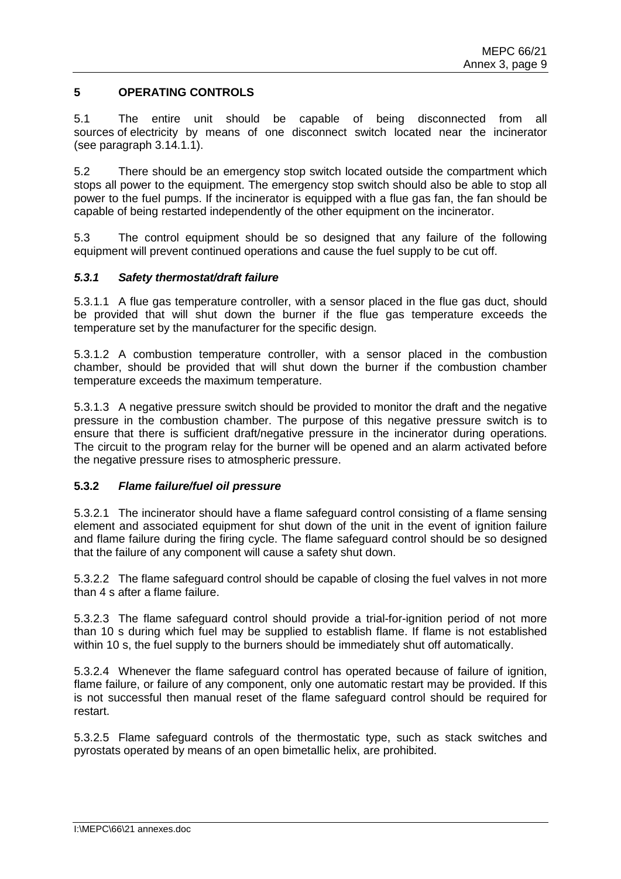# **5 OPERATING CONTROLS**

5.1 The entire unit should be capable of being disconnected from all sources of electricity by means of one disconnect switch located near the incinerator (see paragraph 3.14.1.1).

5.2 There should be an emergency stop switch located outside the compartment which stops all power to the equipment. The emergency stop switch should also be able to stop all power to the fuel pumps. If the incinerator is equipped with a flue gas fan, the fan should be capable of being restarted independently of the other equipment on the incinerator.

5.3 The control equipment should be so designed that any failure of the following equipment will prevent continued operations and cause the fuel supply to be cut off.

#### *5.3.1 Safety thermostat/draft failure*

5.3.1.1 A flue gas temperature controller, with a sensor placed in the flue gas duct, should be provided that will shut down the burner if the flue gas temperature exceeds the temperature set by the manufacturer for the specific design.

5.3.1.2 A combustion temperature controller, with a sensor placed in the combustion chamber, should be provided that will shut down the burner if the combustion chamber temperature exceeds the maximum temperature.

5.3.1.3 A negative pressure switch should be provided to monitor the draft and the negative pressure in the combustion chamber. The purpose of this negative pressure switch is to ensure that there is sufficient draft/negative pressure in the incinerator during operations. The circuit to the program relay for the burner will be opened and an alarm activated before the negative pressure rises to atmospheric pressure.

# **5.3.2** *Flame failure/fuel oil pressure*

5.3.2.1 The incinerator should have a flame safeguard control consisting of a flame sensing element and associated equipment for shut down of the unit in the event of ignition failure and flame failure during the firing cycle. The flame safeguard control should be so designed that the failure of any component will cause a safety shut down.

5.3.2.2 The flame safeguard control should be capable of closing the fuel valves in not more than 4 s after a flame failure.

5.3.2.3 The flame safeguard control should provide a trial-for-ignition period of not more than 10 s during which fuel may be supplied to establish flame. If flame is not established within 10 s, the fuel supply to the burners should be immediately shut off automatically.

5.3.2.4 Whenever the flame safeguard control has operated because of failure of ignition, flame failure, or failure of any component, only one automatic restart may be provided. If this is not successful then manual reset of the flame safeguard control should be required for restart.

5.3.2.5 Flame safeguard controls of the thermostatic type, such as stack switches and pyrostats operated by means of an open bimetallic helix, are prohibited.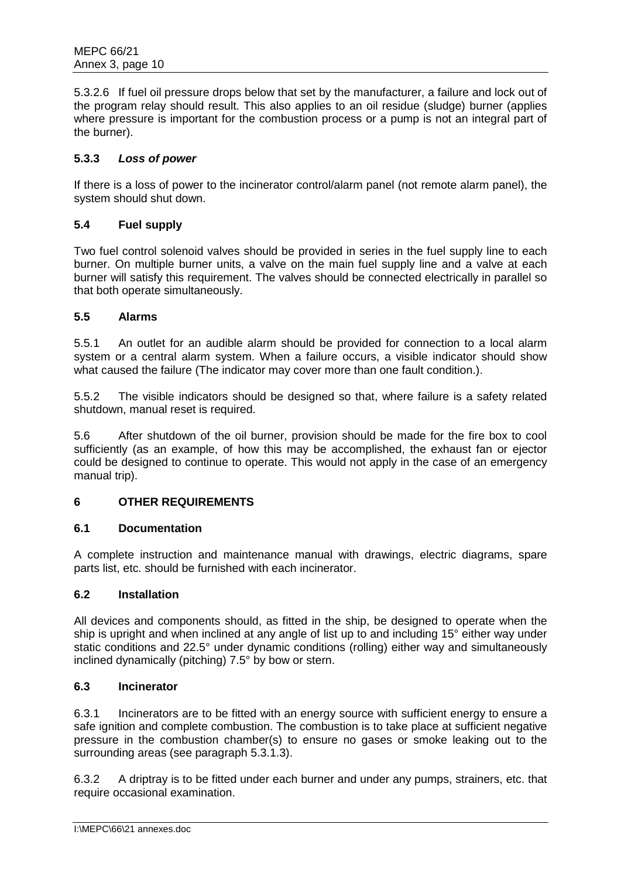5.3.2.6 If fuel oil pressure drops below that set by the manufacturer, a failure and lock out of the program relay should result. This also applies to an oil residue (sludge) burner (applies where pressure is important for the combustion process or a pump is not an integral part of the burner).

# **5.3.3** *Loss of power*

If there is a loss of power to the incinerator control/alarm panel (not remote alarm panel), the system should shut down.

# **5.4 Fuel supply**

Two fuel control solenoid valves should be provided in series in the fuel supply line to each burner. On multiple burner units, a valve on the main fuel supply line and a valve at each burner will satisfy this requirement. The valves should be connected electrically in parallel so that both operate simultaneously.

# **5.5 Alarms**

5.5.1 An outlet for an audible alarm should be provided for connection to a local alarm system or a central alarm system. When a failure occurs, a visible indicator should show what caused the failure (The indicator may cover more than one fault condition.).

5.5.2 The visible indicators should be designed so that, where failure is a safety related shutdown, manual reset is required.

5.6 After shutdown of the oil burner, provision should be made for the fire box to cool sufficiently (as an example, of how this may be accomplished, the exhaust fan or ejector could be designed to continue to operate. This would not apply in the case of an emergency manual trip).

# **6 OTHER REQUIREMENTS**

# **6.1 Documentation**

A complete instruction and maintenance manual with drawings, electric diagrams, spare parts list, etc. should be furnished with each incinerator.

# **6.2 Installation**

All devices and components should, as fitted in the ship, be designed to operate when the ship is upright and when inclined at any angle of list up to and including 15° either way under static conditions and 22.5° under dynamic conditions (rolling) either way and simultaneously inclined dynamically (pitching) 7.5° by bow or stern.

# **6.3 Incinerator**

6.3.1 Incinerators are to be fitted with an energy source with sufficient energy to ensure a safe ignition and complete combustion. The combustion is to take place at sufficient negative pressure in the combustion chamber(s) to ensure no gases or smoke leaking out to the surrounding areas (see paragraph 5.3.1.3).

6.3.2 A driptray is to be fitted under each burner and under any pumps, strainers, etc. that require occasional examination.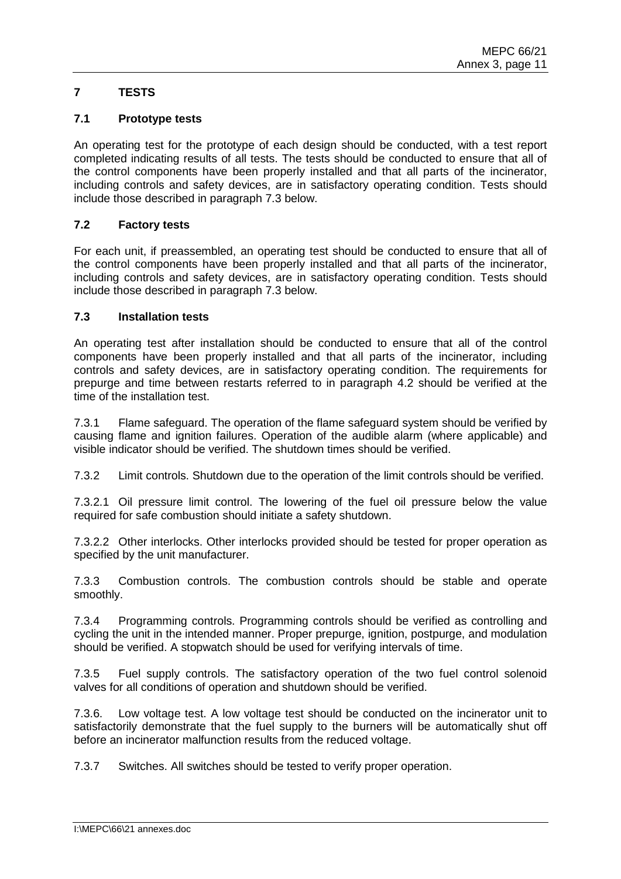# **7 TESTS**

### **7.1 Prototype tests**

An operating test for the prototype of each design should be conducted, with a test report completed indicating results of all tests. The tests should be conducted to ensure that all of the control components have been properly installed and that all parts of the incinerator, including controls and safety devices, are in satisfactory operating condition. Tests should include those described in paragraph 7.3 below.

### **7.2 Factory tests**

For each unit, if preassembled, an operating test should be conducted to ensure that all of the control components have been properly installed and that all parts of the incinerator, including controls and safety devices, are in satisfactory operating condition. Tests should include those described in paragraph 7.3 below.

# **7.3 Installation tests**

An operating test after installation should be conducted to ensure that all of the control components have been properly installed and that all parts of the incinerator, including controls and safety devices, are in satisfactory operating condition. The requirements for prepurge and time between restarts referred to in paragraph 4.2 should be verified at the time of the installation test.

7.3.1 Flame safeguard. The operation of the flame safeguard system should be verified by causing flame and ignition failures. Operation of the audible alarm (where applicable) and visible indicator should be verified. The shutdown times should be verified.

7.3.2 Limit controls. Shutdown due to the operation of the limit controls should be verified.

7.3.2.1 Oil pressure limit control. The lowering of the fuel oil pressure below the value required for safe combustion should initiate a safety shutdown.

7.3.2.2 Other interlocks. Other interlocks provided should be tested for proper operation as specified by the unit manufacturer.

7.3.3 Combustion controls. The combustion controls should be stable and operate smoothly.

7.3.4 Programming controls. Programming controls should be verified as controlling and cycling the unit in the intended manner. Proper prepurge, ignition, postpurge, and modulation should be verified. A stopwatch should be used for verifying intervals of time.

7.3.5 Fuel supply controls. The satisfactory operation of the two fuel control solenoid valves for all conditions of operation and shutdown should be verified.

7.3.6. Low voltage test. A low voltage test should be conducted on the incinerator unit to satisfactorily demonstrate that the fuel supply to the burners will be automatically shut off before an incinerator malfunction results from the reduced voltage.

7.3.7 Switches. All switches should be tested to verify proper operation.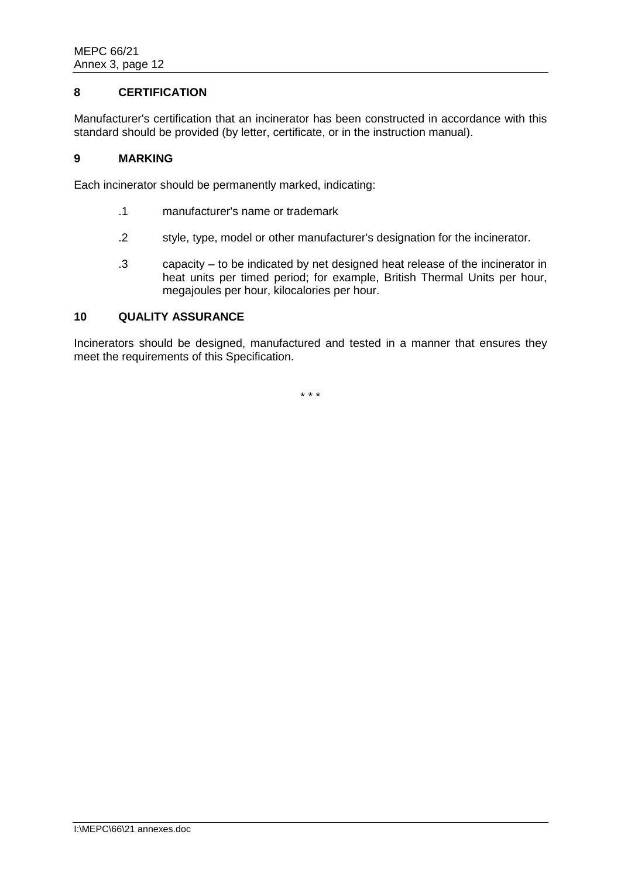# **8 CERTIFICATION**

Manufacturer's certification that an incinerator has been constructed in accordance with this standard should be provided (by letter, certificate, or in the instruction manual).

### **9 MARKING**

Each incinerator should be permanently marked, indicating:

- .1 manufacturer's name or trademark
- .2 style, type, model or other manufacturer's designation for the incinerator.
- .3 capacity to be indicated by net designed heat release of the incinerator in heat units per timed period; for example, British Thermal Units per hour, megajoules per hour, kilocalories per hour.

# **10 QUALITY ASSURANCE**

Incinerators should be designed, manufactured and tested in a manner that ensures they meet the requirements of this Specification.

\* \* \*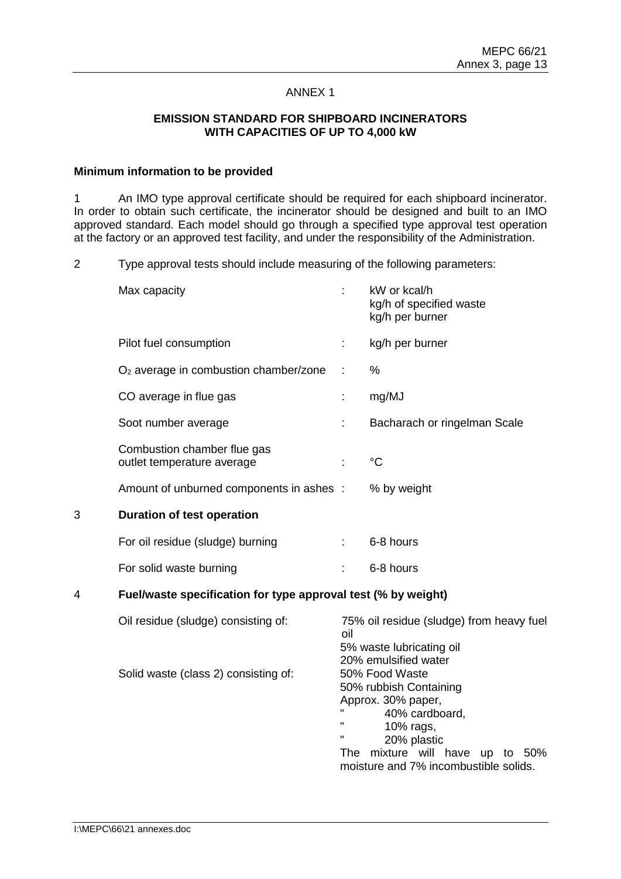### **EMISSION STANDARD FOR SHIPBOARD INCINERATORS WITH CAPACITIES OF UP TO 4,000 kW**

#### **Minimum information to be provided**

1 An IMO type approval certificate should be required for each shipboard incinerator. In order to obtain such certificate, the incinerator should be designed and built to an IMO approved standard. Each model should go through a specified type approval test operation at the factory or an approved test facility, and under the responsibility of the Administration.

2 Type approval tests should include measuring of the following parameters:

|   | Max capacity                                                                |     | kW or kcal/h<br>kg/h of specified waste<br>kg/h per burner                                                                                                                                                                                                                               |
|---|-----------------------------------------------------------------------------|-----|------------------------------------------------------------------------------------------------------------------------------------------------------------------------------------------------------------------------------------------------------------------------------------------|
|   | Pilot fuel consumption                                                      |     | kg/h per burner                                                                                                                                                                                                                                                                          |
|   | $O2$ average in combustion chamber/zone                                     |     | %                                                                                                                                                                                                                                                                                        |
|   | CO average in flue gas                                                      | t,  | mg/MJ                                                                                                                                                                                                                                                                                    |
|   | Soot number average                                                         |     | Bacharach or ringelman Scale                                                                                                                                                                                                                                                             |
|   | Combustion chamber flue gas<br>outlet temperature average                   |     | $^{\circ}C$                                                                                                                                                                                                                                                                              |
|   | Amount of unburned components in ashes :                                    |     | % by weight                                                                                                                                                                                                                                                                              |
| 3 | <b>Duration of test operation</b>                                           |     |                                                                                                                                                                                                                                                                                          |
|   | For oil residue (sludge) burning                                            | ÷.  | 6-8 hours                                                                                                                                                                                                                                                                                |
|   | For solid waste burning                                                     |     | 6-8 hours                                                                                                                                                                                                                                                                                |
| 4 | Fuel/waste specification for type approval test (% by weight)               |     |                                                                                                                                                                                                                                                                                          |
|   | Oil residue (sludge) consisting of:<br>Solid waste (class 2) consisting of: | oil | 75% oil residue (sludge) from heavy fuel<br>5% waste lubricating oil<br>20% emulsified water<br>50% Food Waste<br>50% rubbish Containing<br>Approx. 30% paper,<br>40% cardboard,<br>10% rags,<br>20% plastic<br>The mixture will have up to 50%<br>moisture and 7% incombustible solids. |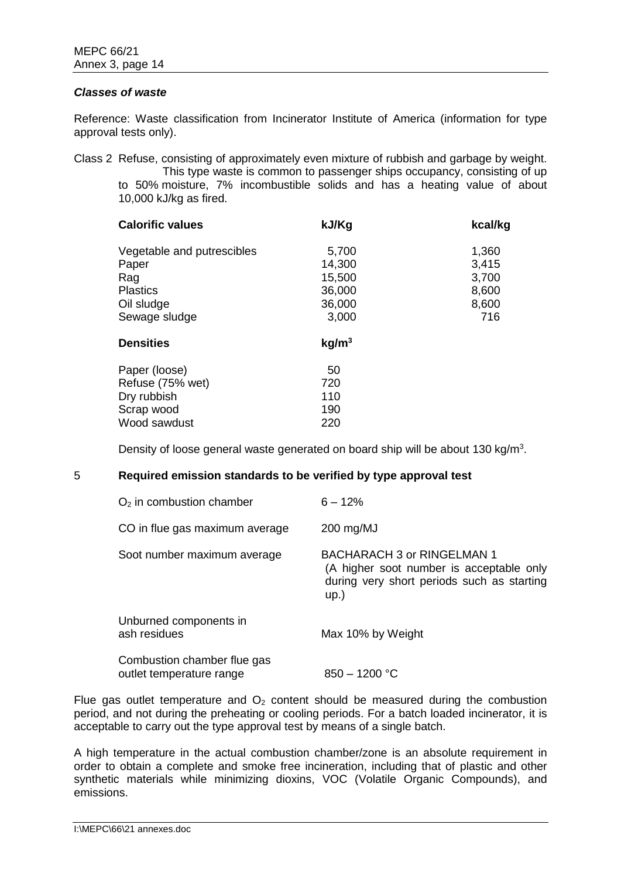#### *Classes of waste*

Reference: Waste classification from Incinerator Institute of America (information for type approval tests only).

Class 2 Refuse, consisting of approximately even mixture of rubbish and garbage by weight. This type waste is common to passenger ships occupancy, consisting of up to 50% moisture, 7% incombustible solids and has a heating value of about 10,000 kJ/kg as fired.

| <b>Calorific values</b>    | kJ/Kg             | kcal/kg |
|----------------------------|-------------------|---------|
| Vegetable and putrescibles | 5,700             | 1,360   |
| Paper                      | 14,300            | 3,415   |
| Rag                        | 15,500            | 3,700   |
| <b>Plastics</b>            | 36,000            | 8,600   |
| Oil sludge                 | 36,000            | 8,600   |
| Sewage sludge              | 3,000             | 716     |
| <b>Densities</b>           | kg/m <sup>3</sup> |         |
| Paper (loose)              | 50                |         |
| Refuse (75% wet)           | 720               |         |
| Dry rubbish                | 110               |         |
| Scrap wood                 | 190               |         |
| Wood sawdust               | 220               |         |

Density of loose general waste generated on board ship will be about 130 kg/m<sup>3</sup>.

#### 5 **Required emission standards to be verified by type approval test**

| $O2$ in combustion chamber                              | $6 - 12%$                                                                                                                    |
|---------------------------------------------------------|------------------------------------------------------------------------------------------------------------------------------|
| CO in flue gas maximum average                          | 200 mg/MJ                                                                                                                    |
| Soot number maximum average                             | BACHARACH 3 or RINGELMAN 1<br>(A higher soot number is acceptable only<br>during very short periods such as starting<br>up.) |
| Unburned components in<br>ash residues                  | Max 10% by Weight                                                                                                            |
| Combustion chamber flue gas<br>outlet temperature range | $850 - 1200 °C$                                                                                                              |

Flue gas outlet temperature and  $O<sub>2</sub>$  content should be measured during the combustion period, and not during the preheating or cooling periods. For a batch loaded incinerator, it is acceptable to carry out the type approval test by means of a single batch.

A high temperature in the actual combustion chamber/zone is an absolute requirement in order to obtain a complete and smoke free incineration, including that of plastic and other synthetic materials while minimizing dioxins, VOC (Volatile Organic Compounds), and emissions.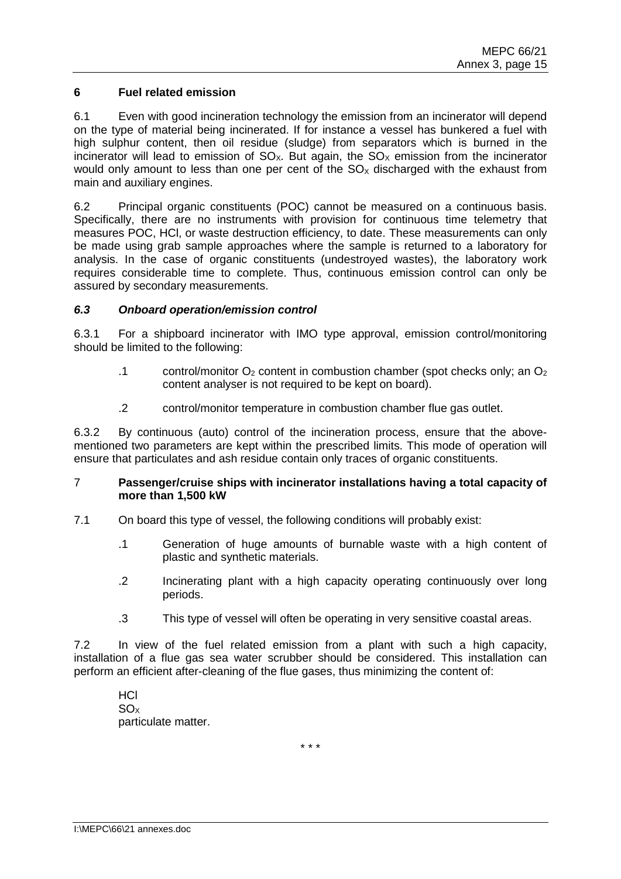# **6 Fuel related emission**

6.1 Even with good incineration technology the emission from an incinerator will depend on the type of material being incinerated. If for instance a vessel has bunkered a fuel with high sulphur content, then oil residue (sludge) from separators which is burned in the incinerator will lead to emission of  $SO_{X}$ . But again, the  $SO_{X}$  emission from the incinerator would only amount to less than one per cent of the  $SO<sub>x</sub>$  discharged with the exhaust from main and auxiliary engines.

6.2 Principal organic constituents (POC) cannot be measured on a continuous basis. Specifically, there are no instruments with provision for continuous time telemetry that measures POC, HCl, or waste destruction efficiency, to date. These measurements can only be made using grab sample approaches where the sample is returned to a laboratory for analysis. In the case of organic constituents (undestroyed wastes), the laboratory work requires considerable time to complete. Thus, continuous emission control can only be assured by secondary measurements.

# *6.3 Onboard operation/emission control*

6.3.1 For a shipboard incinerator with IMO type approval, emission control/monitoring should be limited to the following:

- .1 control/monitor  $O_2$  content in combustion chamber (spot checks only; an  $O_2$ content analyser is not required to be kept on board).
- .2 control/monitor temperature in combustion chamber flue gas outlet.

6.3.2 By continuous (auto) control of the incineration process, ensure that the abovementioned two parameters are kept within the prescribed limits. This mode of operation will ensure that particulates and ash residue contain only traces of organic constituents.

#### 7 **Passenger/cruise ships with incinerator installations having a total capacity of more than 1,500 kW**

- 7.1 On board this type of vessel, the following conditions will probably exist:
	- .1 Generation of huge amounts of burnable waste with a high content of plastic and synthetic materials.
	- .2 Incinerating plant with a high capacity operating continuously over long periods.
	- .3 This type of vessel will often be operating in very sensitive coastal areas.

7.2 In view of the fuel related emission from a plant with such a high capacity, installation of a flue gas sea water scrubber should be considered. This installation can perform an efficient after-cleaning of the flue gases, thus minimizing the content of:

HCl  $SO<sub>x</sub>$ particulate matter.

\* \* \*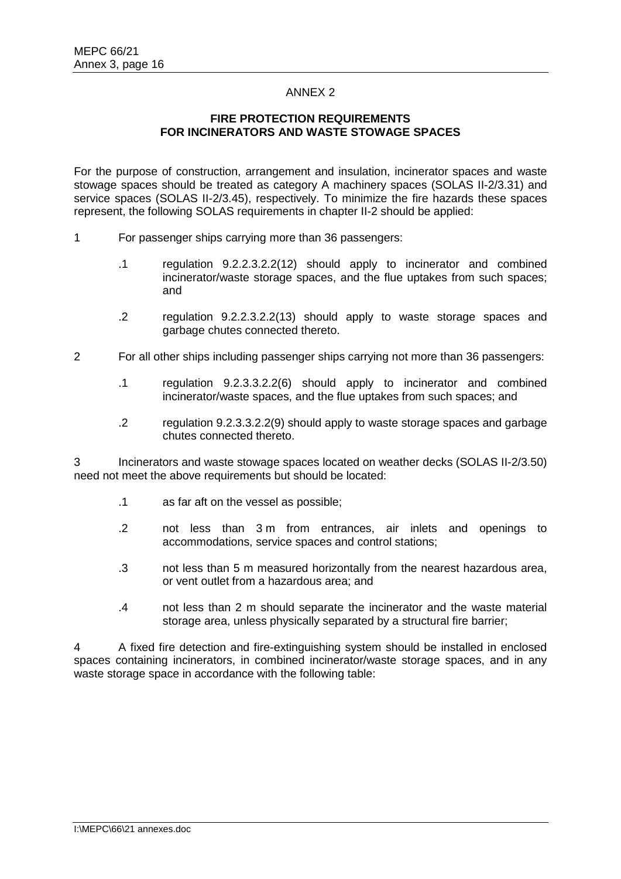# **FIRE PROTECTION REQUIREMENTS FOR INCINERATORS AND WASTE STOWAGE SPACES**

For the purpose of construction, arrangement and insulation, incinerator spaces and waste stowage spaces should be treated as category A machinery spaces (SOLAS II-2/3.31) and service spaces (SOLAS II-2/3.45), respectively. To minimize the fire hazards these spaces represent, the following SOLAS requirements in chapter II-2 should be applied:

- 1 For passenger ships carrying more than 36 passengers:
	- .1 regulation 9.2.2.3.2.2(12) should apply to incinerator and combined incinerator/waste storage spaces, and the flue uptakes from such spaces; and
	- .2 regulation 9.2.2.3.2.2(13) should apply to waste storage spaces and garbage chutes connected thereto.
- 2 For all other ships including passenger ships carrying not more than 36 passengers:
	- .1 regulation 9.2.3.3.2.2(6) should apply to incinerator and combined incinerator/waste spaces, and the flue uptakes from such spaces; and
	- .2 regulation 9.2.3.3.2.2(9) should apply to waste storage spaces and garbage chutes connected thereto.

Incinerators and waste stowage spaces located on weather decks (SOLAS II-2/3.50) need not meet the above requirements but should be located:

- .1 as far aft on the vessel as possible;
- .2 not less than 3 m from entrances, air inlets and openings to accommodations, service spaces and control stations;
- .3 not less than 5 m measured horizontally from the nearest hazardous area, or vent outlet from a hazardous area; and
- .4 not less than 2 m should separate the incinerator and the waste material storage area, unless physically separated by a structural fire barrier;

4 A fixed fire detection and fire-extinguishing system should be installed in enclosed spaces containing incinerators, in combined incinerator/waste storage spaces, and in any waste storage space in accordance with the following table: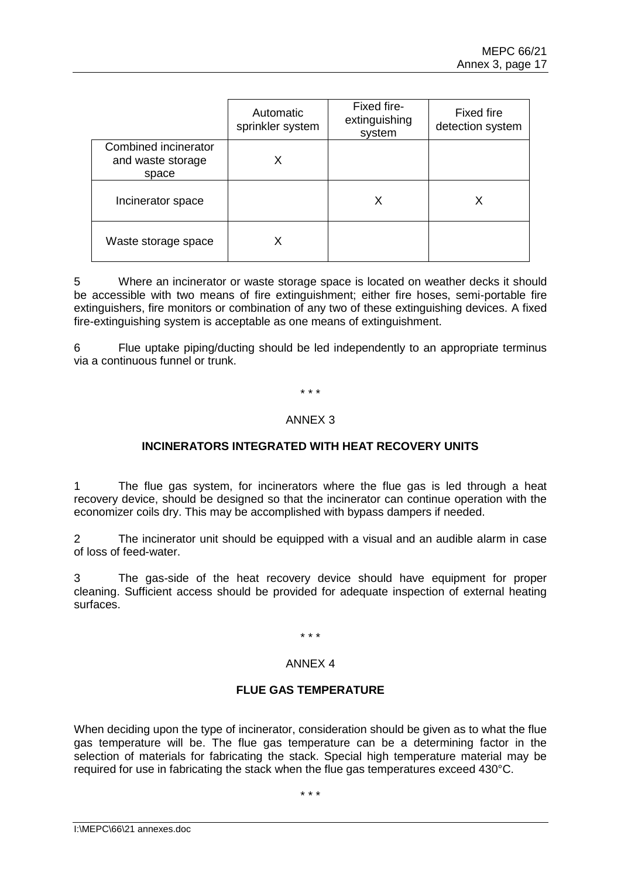|                                                    | Automatic<br>sprinkler system | Fixed fire-<br>extinguishing<br>system | <b>Fixed fire</b><br>detection system |
|----------------------------------------------------|-------------------------------|----------------------------------------|---------------------------------------|
| Combined incinerator<br>and waste storage<br>space | х                             |                                        |                                       |
| Incinerator space                                  |                               | х                                      | Х                                     |
| Waste storage space                                |                               |                                        |                                       |

5 Where an incinerator or waste storage space is located on weather decks it should be accessible with two means of fire extinguishment; either fire hoses, semi-portable fire extinguishers, fire monitors or combination of any two of these extinguishing devices. A fixed fire-extinguishing system is acceptable as one means of extinguishment.

6 Flue uptake piping/ducting should be led independently to an appropriate terminus via a continuous funnel or trunk.

\* \* \*

#### ANNEX 3

# **INCINERATORS INTEGRATED WITH HEAT RECOVERY UNITS**

1 The flue gas system, for incinerators where the flue gas is led through a heat recovery device, should be designed so that the incinerator can continue operation with the economizer coils dry. This may be accomplished with bypass dampers if needed.

2 The incinerator unit should be equipped with a visual and an audible alarm in case of loss of feed-water.

3 The gas-side of the heat recovery device should have equipment for proper cleaning. Sufficient access should be provided for adequate inspection of external heating surfaces.

\* \* \*

#### ANNEX 4

# **FLUE GAS TEMPERATURE**

When deciding upon the type of incinerator, consideration should be given as to what the flue gas temperature will be. The flue gas temperature can be a determining factor in the selection of materials for fabricating the stack. Special high temperature material may be required for use in fabricating the stack when the flue gas temperatures exceed 430°C.

\* \* \*